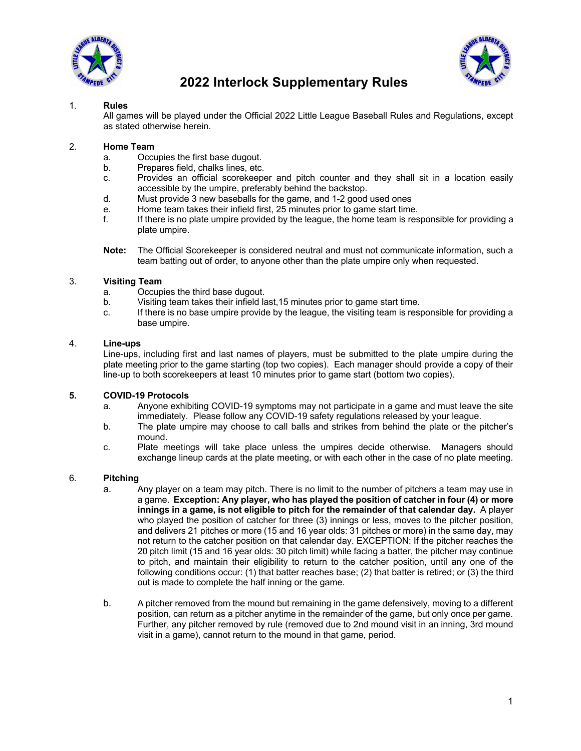



## 1. **Rules**

All games will be played under the Official 2022 Little League Baseball Rules and Regulations, except as stated otherwise herein.

## 2. **Home Team**

- a. Occupies the first base dugout.
- b. Prepares field, chalks lines, etc.
- c. Provides an official scorekeeper and pitch counter and they shall sit in a location easily accessible by the umpire, preferably behind the backstop.
- d. Must provide 3 new baseballs for the game, and 1-2 good used ones
- e. Home team takes their infield first, 25 minutes prior to game start time.
- f. If there is no plate umpire provided by the league, the home team is responsible for providing a plate umpire.
- **Note:** The Official Scorekeeper is considered neutral and must not communicate information, such a team batting out of order, to anyone other than the plate umpire only when requested.

## 3. **Visiting Team**

- a. Occupies the third base dugout.
- b. Visiting team takes their infield last,15 minutes prior to game start time.
- c. If there is no base umpire provide by the league, the visiting team is responsible for providing a base umpire.

### 4. **Line-ups**

Line-ups, including first and last names of players, must be submitted to the plate umpire during the plate meeting prior to the game starting (top two copies). Each manager should provide a copy of their line-up to both scorekeepers at least 10 minutes prior to game start (bottom two copies).

#### **5. COVID-19 Protocols**

- a. Anyone exhibiting COVID-19 symptoms may not participate in a game and must leave the site immediately. Please follow any COVID-19 safety regulations released by your league.
- b. The plate umpire may choose to call balls and strikes from behind the plate or the pitcher's mound.
- c. Plate meetings will take place unless the umpires decide otherwise. Managers should exchange lineup cards at the plate meeting, or with each other in the case of no plate meeting.

#### 6. **Pitching**

- a. Any player on a team may pitch. There is no limit to the number of pitchers a team may use in a game. **Exception: Any player, who has played the position of catcher in four (4) or more innings in a game, is not eligible to pitch for the remainder of that calendar day.** A player who played the position of catcher for three (3) innings or less, moves to the pitcher position, and delivers 21 pitches or more (15 and 16 year olds: 31 pitches or more) in the same day, may not return to the catcher position on that calendar day. EXCEPTION: If the pitcher reaches the 20 pitch limit (15 and 16 year olds: 30 pitch limit) while facing a batter, the pitcher may continue to pitch, and maintain their eligibility to return to the catcher position, until any one of the following conditions occur: (1) that batter reaches base; (2) that batter is retired; or (3) the third out is made to complete the half inning or the game.
- b. A pitcher removed from the mound but remaining in the game defensively, moving to a different position, can return as a pitcher anytime in the remainder of the game, but only once per game. Further, any pitcher removed by rule (removed due to 2nd mound visit in an inning, 3rd mound visit in a game), cannot return to the mound in that game, period.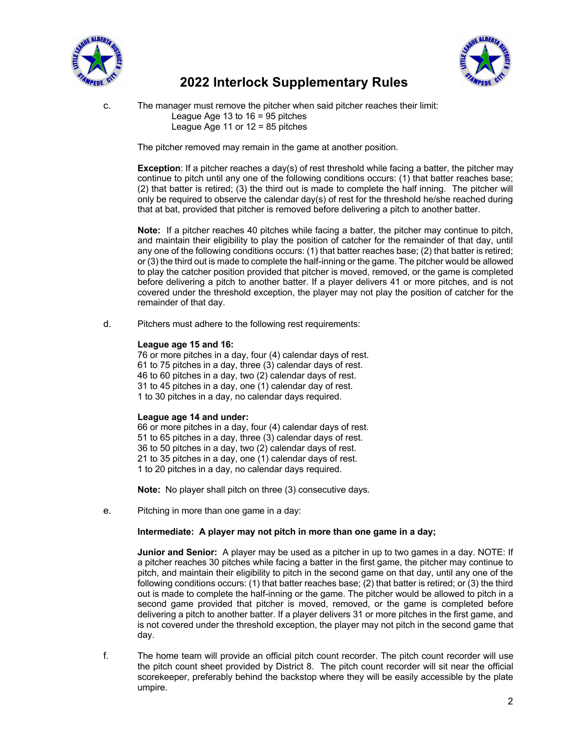



c. The manager must remove the pitcher when said pitcher reaches their limit: League Age  $13$  to  $16 = 95$  pitches League Age 11 or  $12 = 85$  pitches

The pitcher removed may remain in the game at another position.

**Exception:** If a pitcher reaches a day(s) of rest threshold while facing a batter, the pitcher may continue to pitch until any one of the following conditions occurs: (1) that batter reaches base; (2) that batter is retired; (3) the third out is made to complete the half inning. The pitcher will only be required to observe the calendar day(s) of rest for the threshold he/she reached during that at bat, provided that pitcher is removed before delivering a pitch to another batter.

**Note:** If a pitcher reaches 40 pitches while facing a batter, the pitcher may continue to pitch, and maintain their eligibility to play the position of catcher for the remainder of that day, until any one of the following conditions occurs: (1) that batter reaches base; (2) that batter is retired; or (3) the third out is made to complete the half-inning or the game. The pitcher would be allowed to play the catcher position provided that pitcher is moved, removed, or the game is completed before delivering a pitch to another batter. If a player delivers 41 or more pitches, and is not covered under the threshold exception, the player may not play the position of catcher for the remainder of that day.

d. Pitchers must adhere to the following rest requirements:

### **League age 15 and 16:**

76 or more pitches in a day, four (4) calendar days of rest. 61 to 75 pitches in a day, three (3) calendar days of rest. 46 to 60 pitches in a day, two (2) calendar days of rest. 31 to 45 pitches in a day, one (1) calendar day of rest. 1 to 30 pitches in a day, no calendar days required.

## **League age 14 and under:**

66 or more pitches in a day, four (4) calendar days of rest. 51 to 65 pitches in a day, three (3) calendar days of rest. 36 to 50 pitches in a day, two (2) calendar days of rest. 21 to 35 pitches in a day, one (1) calendar days of rest. 1 to 20 pitches in a day, no calendar days required.

**Note:** No player shall pitch on three (3) consecutive days.

e. Pitching in more than one game in a day:

### **Intermediate: A player may not pitch in more than one game in a day;**

**Junior and Senior:** A player may be used as a pitcher in up to two games in a day. NOTE: If a pitcher reaches 30 pitches while facing a batter in the first game, the pitcher may continue to pitch, and maintain their eligibility to pitch in the second game on that day, until any one of the following conditions occurs: (1) that batter reaches base; (2) that batter is retired; or (3) the third out is made to complete the half-inning or the game. The pitcher would be allowed to pitch in a second game provided that pitcher is moved, removed, or the game is completed before delivering a pitch to another batter. If a player delivers 31 or more pitches in the first game, and is not covered under the threshold exception, the player may not pitch in the second game that day.

f. The home team will provide an official pitch count recorder. The pitch count recorder will use the pitch count sheet provided by District 8. The pitch count recorder will sit near the official scorekeeper, preferably behind the backstop where they will be easily accessible by the plate umpire.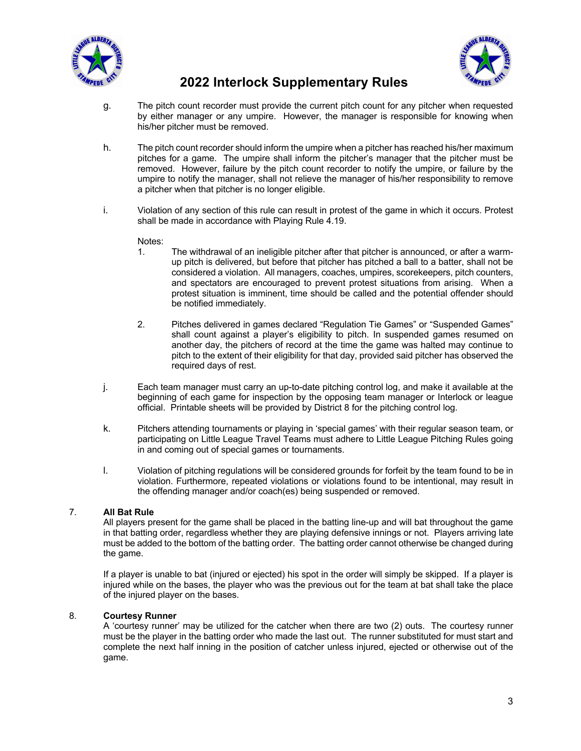



- g. The pitch count recorder must provide the current pitch count for any pitcher when requested by either manager or any umpire. However, the manager is responsible for knowing when his/her pitcher must be removed.
- h. The pitch count recorder should inform the umpire when a pitcher has reached his/her maximum pitches for a game. The umpire shall inform the pitcher's manager that the pitcher must be removed. However, failure by the pitch count recorder to notify the umpire, or failure by the umpire to notify the manager, shall not relieve the manager of his/her responsibility to remove a pitcher when that pitcher is no longer eligible.
- i. Violation of any section of this rule can result in protest of the game in which it occurs. Protest shall be made in accordance with Playing Rule 4.19.

## Notes:

- 1. The withdrawal of an ineligible pitcher after that pitcher is announced, or after a warmup pitch is delivered, but before that pitcher has pitched a ball to a batter, shall not be considered a violation. All managers, coaches, umpires, scorekeepers, pitch counters, and spectators are encouraged to prevent protest situations from arising. When a protest situation is imminent, time should be called and the potential offender should be notified immediately.
- 2. Pitches delivered in games declared "Regulation Tie Games" or "Suspended Games" shall count against a player's eligibility to pitch. In suspended games resumed on another day, the pitchers of record at the time the game was halted may continue to pitch to the extent of their eligibility for that day, provided said pitcher has observed the required days of rest.
- j. Each team manager must carry an up-to-date pitching control log, and make it available at the beginning of each game for inspection by the opposing team manager or Interlock or league official. Printable sheets will be provided by District 8 for the pitching control log.
- k. Pitchers attending tournaments or playing in 'special games' with their regular season team, or participating on Little League Travel Teams must adhere to Little League Pitching Rules going in and coming out of special games or tournaments.
- l. Violation of pitching regulations will be considered grounds for forfeit by the team found to be in violation. Furthermore, repeated violations or violations found to be intentional, may result in the offending manager and/or coach(es) being suspended or removed.

## 7. **All Bat Rule**

All players present for the game shall be placed in the batting line-up and will bat throughout the game in that batting order, regardless whether they are playing defensive innings or not. Players arriving late must be added to the bottom of the batting order. The batting order cannot otherwise be changed during the game.

If a player is unable to bat (injured or ejected) his spot in the order will simply be skipped. If a player is injured while on the bases, the player who was the previous out for the team at bat shall take the place of the injured player on the bases.

## 8. **Courtesy Runner**

A 'courtesy runner' may be utilized for the catcher when there are two (2) outs. The courtesy runner must be the player in the batting order who made the last out. The runner substituted for must start and complete the next half inning in the position of catcher unless injured, ejected or otherwise out of the game.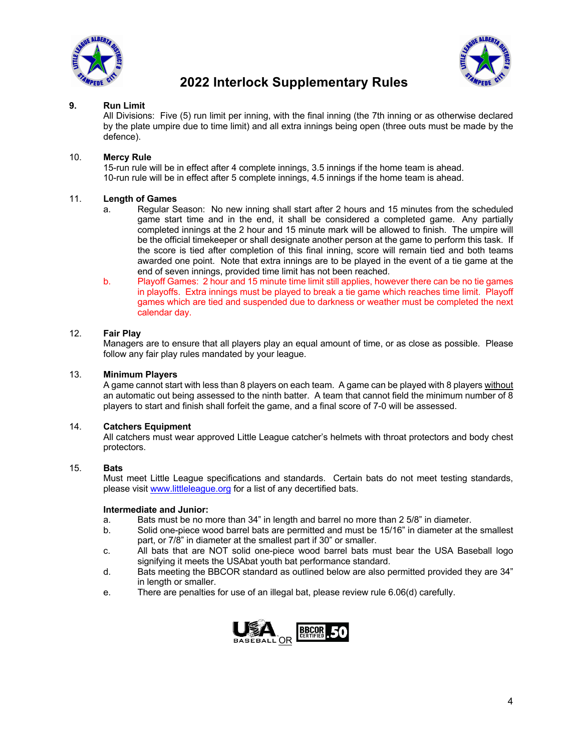



## **9. Run Limit**

All Divisions: Five (5) run limit per inning, with the final inning (the 7th inning or as otherwise declared by the plate umpire due to time limit) and all extra innings being open (three outs must be made by the defence).

## 10. **Mercy Rule**

15-run rule will be in effect after 4 complete innings, 3.5 innings if the home team is ahead. 10-run rule will be in effect after 5 complete innings, 4.5 innings if the home team is ahead.

## 11. **Length of Games**

- a. Regular Season: No new inning shall start after 2 hours and 15 minutes from the scheduled game start time and in the end, it shall be considered a completed game. Any partially completed innings at the 2 hour and 15 minute mark will be allowed to finish. The umpire will be the official timekeeper or shall designate another person at the game to perform this task. If the score is tied after completion of this final inning, score will remain tied and both teams awarded one point. Note that extra innings are to be played in the event of a tie game at the end of seven innings, provided time limit has not been reached.
- b. Playoff Games: 2 hour and 15 minute time limit still applies, however there can be no tie games in playoffs. Extra innings must be played to break a tie game which reaches time limit. Playoff games which are tied and suspended due to darkness or weather must be completed the next calendar day.

## 12. **Fair Play**

Managers are to ensure that all players play an equal amount of time, or as close as possible. Please follow any fair play rules mandated by your league.

## 13. **Minimum Players**

A game cannot start with less than 8 players on each team. A game can be played with 8 players without an automatic out being assessed to the ninth batter. A team that cannot field the minimum number of 8 players to start and finish shall forfeit the game, and a final score of 7-0 will be assessed.

## 14. **Catchers Equipment**

All catchers must wear approved Little League catcher's helmets with throat protectors and body chest protectors.

## 15. **Bats**

Must meet Little League specifications and standards. Certain bats do not meet testing standards, please visit www.littleleague.org for a list of any decertified bats.

#### **Intermediate and Junior:**

- a. Bats must be no more than 34" in length and barrel no more than 2 5/8" in diameter.
- b. Solid one-piece wood barrel bats are permitted and must be 15/16" in diameter at the smallest part, or 7/8" in diameter at the smallest part if 30" or smaller.
- c. All bats that are NOT solid one-piece wood barrel bats must bear the USA Baseball logo signifying it meets the USAbat youth bat performance standard.
- d. Bats meeting the BBCOR standard as outlined below are also permitted provided they are 34" in length or smaller.
- e. There are penalties for use of an illegal bat, please review rule 6.06(d) carefully.

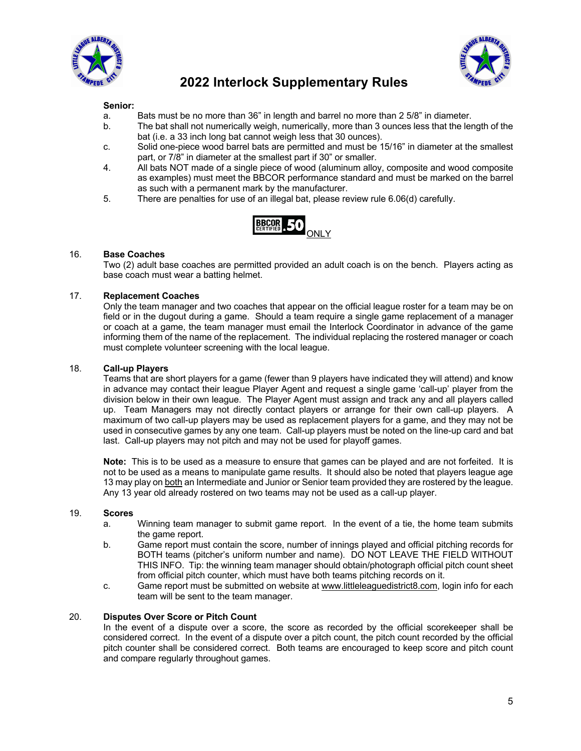



### **Senior:**

- a. Bats must be no more than 36" in length and barrel no more than 2 5/8" in diameter.
- b. The bat shall not numerically weigh, numerically, more than 3 ounces less that the length of the bat (i.e. a 33 inch long bat cannot weigh less that 30 ounces).
- c. Solid one-piece wood barrel bats are permitted and must be 15/16" in diameter at the smallest part, or 7/8" in diameter at the smallest part if 30" or smaller.
- 4. All bats NOT made of a single piece of wood (aluminum alloy, composite and wood composite as examples) must meet the BBCOR performance standard and must be marked on the barrel as such with a permanent mark by the manufacturer.
- 5. There are penalties for use of an illegal bat, please review rule 6.06(d) carefully.



## 16. **Base Coaches**

Two (2) adult base coaches are permitted provided an adult coach is on the bench. Players acting as base coach must wear a batting helmet.

### 17. **Replacement Coaches**

Only the team manager and two coaches that appear on the official league roster for a team may be on field or in the dugout during a game. Should a team require a single game replacement of a manager or coach at a game, the team manager must email the Interlock Coordinator in advance of the game informing them of the name of the replacement. The individual replacing the rostered manager or coach must complete volunteer screening with the local league.

#### 18. **Call-up Players**

Teams that are short players for a game (fewer than 9 players have indicated they will attend) and know in advance may contact their league Player Agent and request a single game 'call-up' player from the division below in their own league. The Player Agent must assign and track any and all players called up. Team Managers may not directly contact players or arrange for their own call-up players. A maximum of two call-up players may be used as replacement players for a game, and they may not be used in consecutive games by any one team. Call-up players must be noted on the line-up card and bat last. Call-up players may not pitch and may not be used for playoff games.

**Note:** This is to be used as a measure to ensure that games can be played and are not forfeited. It is not to be used as a means to manipulate game results. It should also be noted that players league age 13 may play on both an Intermediate and Junior or Senior team provided they are rostered by the league. Any 13 year old already rostered on two teams may not be used as a call-up player.

#### 19. **Scores**

- a. Winning team manager to submit game report. In the event of a tie, the home team submits the game report.
- b. Game report must contain the score, number of innings played and official pitching records for BOTH teams (pitcher's uniform number and name). DO NOT LEAVE THE FIELD WITHOUT THIS INFO. Tip: the winning team manager should obtain/photograph official pitch count sheet from official pitch counter, which must have both teams pitching records on it.
- c. Game report must be submitted on website at www.littleleaguedistrict8.com, login info for each team will be sent to the team manager.

#### 20. **Disputes Over Score or Pitch Count**

In the event of a dispute over a score, the score as recorded by the official scorekeeper shall be considered correct. In the event of a dispute over a pitch count, the pitch count recorded by the official pitch counter shall be considered correct. Both teams are encouraged to keep score and pitch count and compare regularly throughout games.